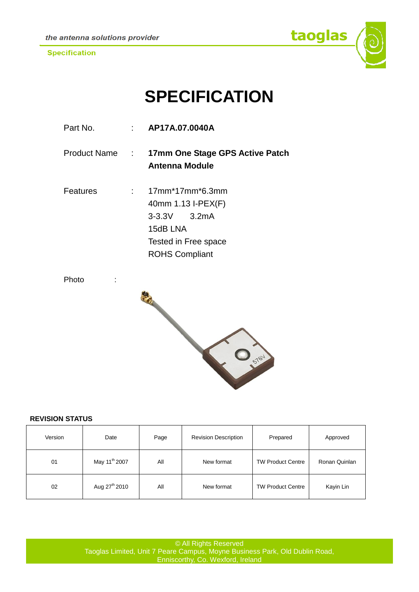

# **SPECIFICATION**

| Part No. | $\therefore$ AP17A.07.0040A                                                                                            |  |
|----------|------------------------------------------------------------------------------------------------------------------------|--|
|          | Product Name : 17mm One Stage GPS Active Patch<br>Antenna Module                                                       |  |
| Features | 17mm*17mm*6.3mm<br>40mm 1.13 I-PEX(F)<br>$3-3.3V$ $3.2mA$<br>15dB LNA<br>Tested in Free space<br><b>ROHS Compliant</b> |  |

Photo :



#### **REVISION STATUS**

| Version | Date                      | Page | <b>Revision Description</b> | Prepared                 | Approved      |
|---------|---------------------------|------|-----------------------------|--------------------------|---------------|
| 01      | May 11 <sup>th</sup> 2007 | All  | New format                  | <b>TW Product Centre</b> | Ronan Quinlan |
| 02      | Aug 27 <sup>th</sup> 2010 | All  | New format                  | <b>TW Product Centre</b> | Kayin Lin     |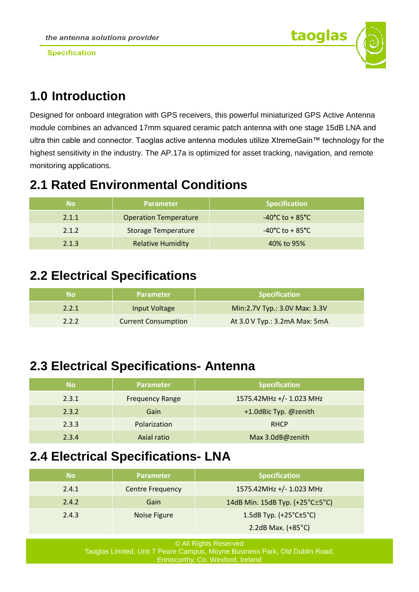

# **1.0 Introduction**

Designed for onboard integration with GPS receivers, this powerful miniaturized GPS Active Antenna module combines an advanced 17mm squared ceramic patch antenna with one stage 15dB LNA and ultra thin cable and connector. Taoglas active antenna modules utilize XtremeGain™ technology for the highest sensitivity in the industry. The AP.17a is optimized for asset tracking, navigation, and remote monitoring applications.

# **2.1 Rated Environmental Conditions**

| No    | <b>Parameter</b>             | <b>Specification</b>                 |
|-------|------------------------------|--------------------------------------|
| 2.1.1 | <b>Operation Temperature</b> | $-40^{\circ}$ C to + 85 $^{\circ}$ C |
| 2.1.2 | <b>Storage Temperature</b>   | $-40^{\circ}$ C to + 85 $^{\circ}$ C |
| 2.1.3 | <b>Relative Humidity</b>     | 40% to 95%                           |

## **2.2 Electrical Specifications**

| Nο    | <b>Parameter</b>           | <b>Specification</b>          |
|-------|----------------------------|-------------------------------|
| 2.2.1 | Input Voltage              | Min:2.7V Typ.: 3.0V Max: 3.3V |
| 2.2.2 | <b>Current Consumption</b> | At 3.0 V Typ.: 3.2mA Max: 5mA |

# **2.3 Electrical Specifications- Antenna**

| <b>No</b> | Parameter              | <b>Specification</b>     |
|-----------|------------------------|--------------------------|
| 2.3.1     | <b>Frequency Range</b> | 1575.42MHz +/- 1.023 MHz |
| 2.3.2     | Gain                   | +1.0dBic Typ. @zenith    |
| 2.3.3     | Polarization           | <b>RHCP</b>              |
| 2.3.4     | Axial ratio            | Max 3.0dB@zenith         |

### **2.4 Electrical Specifications- LNA**

| No    | <b>Parameter</b>        | <b>Specification</b>                            |
|-------|-------------------------|-------------------------------------------------|
| 2.4.1 | <b>Centre Frequency</b> | 1575.42MHz +/- 1.023 MHz                        |
| 2.4.2 | Gain                    | 14dB Min. 15dB Typ. $(+25^{\circ}$ C $\pm$ 5°C) |
| 2.4.3 | Noise Figure            | 1.5dB Typ. $(+25^{\circ}$ C $\pm$ 5°C)          |
|       |                         | 2.2dB Max. $(+85^{\circ}C)$                     |

© All Rights Reserved Taoglas Limited, Unit 7 Peare Campus, Moyne Business Park, Old Dublin Road, Enniscorthy, Co. Wexford, Ireland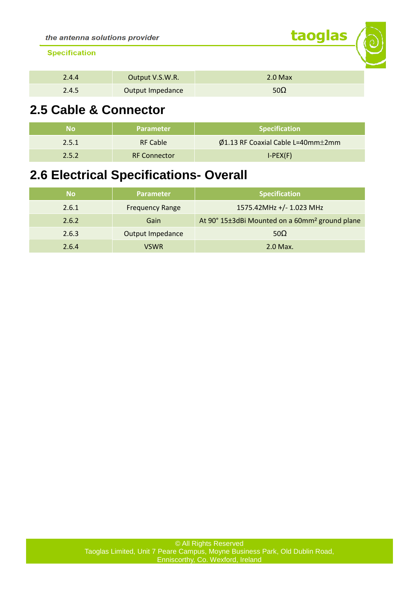| 2.4.4 | Output V.S.W.R.  | $2.0$ Max   |
|-------|------------------|-------------|
| 2.4.5 | Output Impedance | 50 $\Omega$ |

taoglas

# **2.5 Cable & Connector**

| Nο    | <b>Parameter</b>    | <b>Specification</b>                             |
|-------|---------------------|--------------------------------------------------|
| 2.5.1 | <b>RF Cable</b>     | $\varphi$ 1.13 RF Coaxial Cable L=40mm $\pm$ 2mm |
| 2.5.2 | <b>RF Connector</b> | $I-PEX(F)$                                       |

## **2.6 Electrical Specifications- Overall**

| <b>No</b> | <b>Parameter</b>       | <b>Specification</b>                                       |
|-----------|------------------------|------------------------------------------------------------|
| 2.6.1     | <b>Frequency Range</b> | 1575.42MHz +/- 1.023 MHz                                   |
| 2.6.2     | Gain                   | At 90° 15±3dBi Mounted on a 60mm <sup>2</sup> ground plane |
| 2.6.3     | Output Impedance       | $50\Omega$                                                 |
| 2.6.4     | <b>VSWR</b>            | 2.0 Max.                                                   |